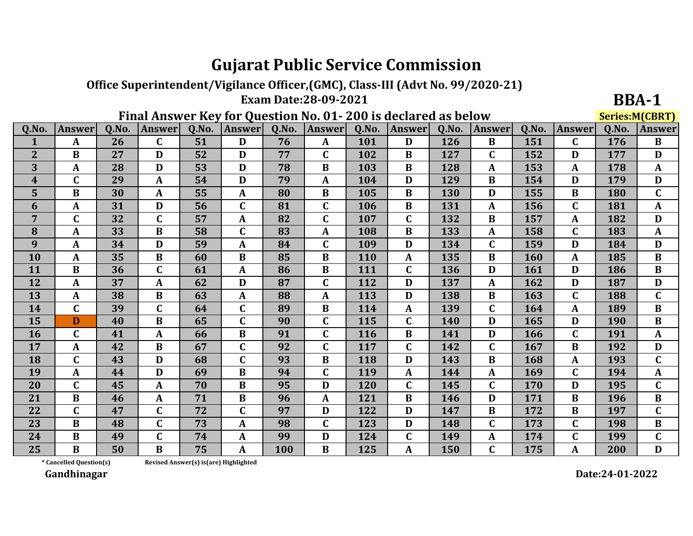## **Gujarat Public Service Commission**

Office Superintendent/Vigilance Officer,(GMC), Class-III (Advt No. 99/2020-21) **Exam Date:28-09-2021** 

Final Answer Key for Question No. 01-200 is declared as helow

| <b>BBA-1</b>          |
|-----------------------|
| <b>Series M(CRRT)</b> |

|                  |                         | I Mai Aliswei Tieț Ivi Question Ivi. 01- 200 is ucelai cu as below |               |       |               |       |               |            |               |       | acricani (com i ) |       |               |       |               |
|------------------|-------------------------|--------------------------------------------------------------------|---------------|-------|---------------|-------|---------------|------------|---------------|-------|-------------------|-------|---------------|-------|---------------|
| Q.No.            | <b>Answer</b>           | Q.No.                                                              | <b>Answer</b> | Q.No. | <b>Answer</b> | Q.No. | <b>Answer</b> | Q.No.      | <b>Answer</b> | Q.No. | <b>Answer</b>     | Q.No. | <b>Answer</b> | Q.No. | <b>Answer</b> |
|                  | A                       | 26                                                                 | $\mathbf C$   | 51    | D             | 76    | A             | 101        | D             | 126   | B                 | 151   | $\mathbf C$   | 176   | $\bf{B}$      |
| $\overline{2}$   | $\bf{B}$                | 27                                                                 | D             | 52    | D             | 77    | $\mathbf C$   | 102        | B             | 127   | C                 | 152   | D             | 177   | D             |
| 3                | A                       | 28                                                                 | D             | 53    | D             | 78    | $\bf{B}$      | 103        | $\bf{B}$      | 128   | $\mathbf{A}$      | 153   | A             | 178   | $\mathbf{A}$  |
| $\boldsymbol{4}$ | $\mathbf{C}$            | 29                                                                 | $\mathbf{A}$  | 54    | D             | 79    | $\mathbf{A}$  | 104        | D             | 129   | $\bf{B}$          | 154   | D             | 179   | D             |
| 5                | $\bf{B}$                | 30                                                                 | A             | 55    | $\mathbf{A}$  | 80    | $\bf{B}$      | 105        | $\bf{B}$      | 130   | D                 | 155   | $\bf{B}$      | 180   | $\mathbf C$   |
| 6                | A                       | 31                                                                 | D             | 56    | $\mathbf C$   | 81    | $\mathbf C$   | 106        | $\bf{B}$      | 131   | A                 | 156   | $\mathbf C$   | 181   | A             |
| 7                | $\mathbf C$             | 32                                                                 | $\mathbf C$   | 57    | $\mathbf{A}$  | 82    | $\mathbf C$   | 107        | $\mathbf{C}$  | 132   | B                 | 157   | A             | 182   | D             |
| 8                | A                       | 33                                                                 | $\bf{B}$      | 58    | $\mathbf C$   | 83    | $\mathbf A$   | 108        | $\bf{B}$      | 133   | A                 | 158   | $\mathbf C$   | 183   | $\mathbf{A}$  |
| 9                | A                       | 34                                                                 | D             | 59    | A             | 84    | $\mathbf C$   | 109        | D             | 134   | C                 | 159   | D             | 184   | D             |
| 10               | A                       | 35                                                                 | $\bf{B}$      | 60    | $\bf{B}$      | 85    | $\bf{B}$      | 110        | $\mathbf{A}$  | 135   | $\bf{B}$          | 160   | $\mathbf A$   | 185   | $\bf{B}$      |
| 11               | $\bf{B}$                | 36                                                                 | $\mathbf C$   | 61    | $\mathbf{A}$  | 86    | $\bf{B}$      | 111        | $\mathbf{C}$  | 136   | D                 | 161   | D             | 186   | $\bf{B}$      |
| 12               | A                       | 37                                                                 | A             | 62    | D             | 87    | $\mathbf C$   | 112        | D             | 137   | A                 | 162   | D             | 187   | D             |
| 13               | $\mathbf{A}$            | 38                                                                 | B             | 63    | $\mathbf{A}$  | 88    | A             | 113        | D             | 138   | B                 | 163   | $\mathbf C$   | 188   | $\mathbf C$   |
| 14               | $\mathbf{C}$            | 39                                                                 | $\mathbf C$   | 64    | $\mathbf C$   | 89    | $\bf{B}$      | 114        | A             | 139   | C                 | 164   | A             | 189   | $\bf{B}$      |
| 15               | D                       | 40                                                                 | $\bf{B}$      | 65    | $\mathbf C$   | 90    | $\mathbf C$   | 115        | $\mathbf C$   | 140   | D                 | 165   | D             | 190   | $\bf{B}$      |
| 16               | $\mathbf C$             | 41                                                                 | A             | 66    | $\bf{B}$      | 91    | $\mathbf C$   | 116        | $\bf{B}$      | 141   | D                 | 166   | $\mathbf C$   | 191   | $\mathbf{A}$  |
| 17               | A                       | 42                                                                 | $\bf{B}$      | 67    | $\mathbf C$   | 92    | $\mathbf C$   | 117        | $\mathbf{C}$  | 142   | $\mathbf{C}$      | 167   | $\bf{B}$      | 192   | D             |
| 18               | $\mathbf C$             | 43                                                                 | D             | 68    | C             | 93    | $\bf{B}$      | 118        | D             | 143   | B                 | 168   | A             | 193   | $\mathbf C$   |
| 19               | $\mathbf{A}$            | 44                                                                 | D             | 69    | $\bf{B}$      | 94    | $\mathbf C$   | 119        | A             | 144   | A                 | 169   | $\mathbf C$   | 194   | $\mathbf{A}$  |
| <b>20</b>        | $\mathbf C$             | 45                                                                 | A             | 70    | $\bf{B}$      | 95    | D             | <b>120</b> | $\mathbf C$   | 145   | C                 | 170   | D             | 195   | $\mathbf C$   |
| 21               | $\bf{B}$                | 46                                                                 | A             | 71    | $\bf{B}$      | 96    | $\mathbf A$   | 121        | $\bf{B}$      | 146   | D                 | 171   | B             | 196   | $\bf{B}$      |
| 22               | $\overline{\mathsf{C}}$ | 47                                                                 | $\mathbf C$   | 72    | $\mathbf C$   | 97    | D             | 122        | D             | 147   | $\bf{B}$          | 172   | B             | 197   | $\mathbf C$   |
| 23               | $\bf{B}$                | 48                                                                 | $\mathbf C$   | 73    | $\mathbf{A}$  | 98    | $\mathbf C$   | 123        | D             | 148   | $\mathbf C$       | 173   | $\mathbf C$   | 198   | $\bf{B}$      |
| 24               | $\bf{B}$                | 49                                                                 | $\mathbf C$   | 74    | A             | 99    | D             | 124        | $\mathbf{C}$  | 149   | A                 | 174   | $\mathbf C$   | 199   | $\mathbf C$   |
| 25               | B                       | 50                                                                 | B             | 75    | $\mathbf{A}$  | 100   | B             | 125        | A             | 150   | C                 | 175   | A             | 200   | D             |

\* Cancelled Question(s)

Revised Answer(s) is(are) Highlighted

Gandhinagar

Date:24-01-2022